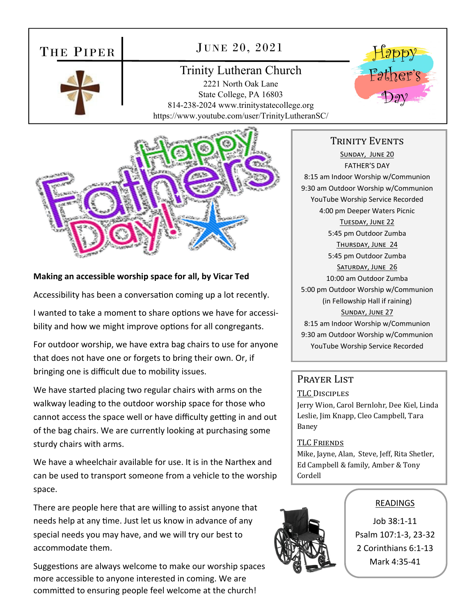# THE PIPER

# JUNE 20, 2021

# Trinity Lutheran Church

2221 North Oak Lane State College, PA 16803 814-238-2024 www.trinitystatecollege.org https://www.youtube.com/user/TrinityLutheranSC/



### **Making an accessible worship space for all, by Vicar Ted**

Accessibility has been a conversation coming up a lot recently.

I wanted to take a moment to share options we have for accessibility and how we might improve options for all congregants.

For outdoor worship, we have extra bag chairs to use for anyone that does not have one or forgets to bring their own. Or, if bringing one is difficult due to mobility issues.

We have started placing two regular chairs with arms on the walkway leading to the outdoor worship space for those who cannot access the space well or have difficulty getting in and out of the bag chairs. We are currently looking at purchasing some sturdy chairs with arms.

We have a wheelchair available for use. It is in the Narthex and can be used to transport someone from a vehicle to the worship space.

There are people here that are willing to assist anyone that needs help at any time. Just let us know in advance of any special needs you may have, and we will try our best to accommodate them.

Suggestions are always welcome to make our worship spaces more accessible to anyone interested in coming. We are committed to ensuring people feel welcome at the church!

# TRINITY EVENTS

Father's

SUNDAY, JUNE 20 FATHER'S DAY 8:15 am Indoor Worship w/Communion 9:30 am Outdoor Worship w/Communion YouTube Worship Service Recorded 4:00 pm Deeper Waters Picnic TUESDAY, JUNE 22 5:45 pm Outdoor Zumba THURSDAY, JUNE 24 5:45 pm Outdoor Zumba SATURDAY, JUNE 26 10:00 am Outdoor Zumba 5:00 pm Outdoor Worship w/Communion (in Fellowship Hall if raining) SUNDAY, JUNE 27 8:15 am Indoor Worship w/Communion 9:30 am Outdoor Worship w/Communion YouTube Worship Service Recorded

# Prayer List

#### TLC DISCIPLES

Jerry Wion, Carol Bernlohr, Dee Kiel, Linda Leslie, Jim Knapp, Cleo Campbell, Tara Baney

#### TLC FRIENDS

Mike, Jayne, Alan, Steve, Jeff, Rita Shetler, Ed Campbell & family, Amber & Tony Cordell



# READINGS

Job 38:1‐11 Psalm 107:1‐3, 23‐32 2 Corinthians 6:1‐13 Mark 4:35‐41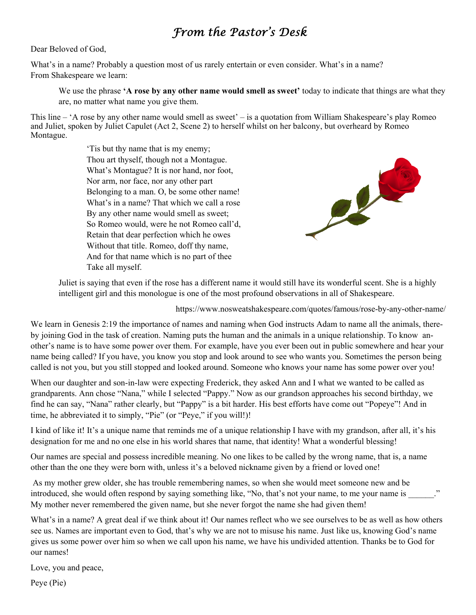# *From the Pastor's Desk*

#### Dear Beloved of God,

What's in a name? Probably a question most of us rarely entertain or even consider. What's in a name? From Shakespeare we learn:

We use the phrase **'A rose by any other name would smell as sweet**' today to indicate that things are what they are, no matter what name you give them.

This line – 'A rose by any other name would smell as sweet' – is a quotation from William Shakespeare's play Romeo and Juliet, spoken by Juliet Capulet (Act 2, Scene 2) to herself whilst on her balcony, but overheard by Romeo Montague.

> 'Tis but thy name that is my enemy; Thou art thyself, though not a Montague. What's Montague? It is nor hand, nor foot, Nor arm, nor face, nor any other part Belonging to a man. O, be some other name! What's in a name? That which we call a rose By any other name would smell as sweet; So Romeo would, were he not Romeo call'd, Retain that dear perfection which he owes Without that title. Romeo, doff thy name, And for that name which is no part of thee Take all myself.



Juliet is saying that even if the rose has a different name it would still have its wonderful scent. She is a highly intelligent girl and this monologue is one of the most profound observations in all of Shakespeare.

https://www.nosweatshakespeare.com/quotes/famous/rose-by-any-other-name/

We learn in Genesis 2:19 the importance of names and naming when God instructs Adam to name all the animals, thereby joining God in the task of creation. Naming puts the human and the animals in a unique relationship. To know another's name is to have some power over them. For example, have you ever been out in public somewhere and hear your name being called? If you have, you know you stop and look around to see who wants you. Sometimes the person being called is not you, but you still stopped and looked around. Someone who knows your name has some power over you!

When our daughter and son-in-law were expecting Frederick, they asked Ann and I what we wanted to be called as grandparents. Ann chose "Nana," while I selected "Pappy." Now as our grandson approaches his second birthday, we find he can say, "Nana" rather clearly, but "Pappy" is a bit harder. His best efforts have come out "Popeye"! And in time, he abbreviated it to simply, "Pie" (or "Peye," if you will!)!

I kind of like it! It's a unique name that reminds me of a unique relationship I have with my grandson, after all, it's his designation for me and no one else in his world shares that name, that identity! What a wonderful blessing!

Our names are special and possess incredible meaning. No one likes to be called by the wrong name, that is, a name other than the one they were born with, unless it's a beloved nickname given by a friend or loved one!

 As my mother grew older, she has trouble remembering names, so when she would meet someone new and be introduced, she would often respond by saying something like, "No, that's not your name, to me your name is My mother never remembered the given name, but she never forgot the name she had given them!

What's in a name? A great deal if we think about it! Our names reflect who we see ourselves to be as well as how others see us. Names are important even to God, that's why we are not to misuse his name. Just like us, knowing God's name gives us some power over him so when we call upon his name, we have his undivided attention. Thanks be to God for our names!

Love, you and peace,

Peye (Pie)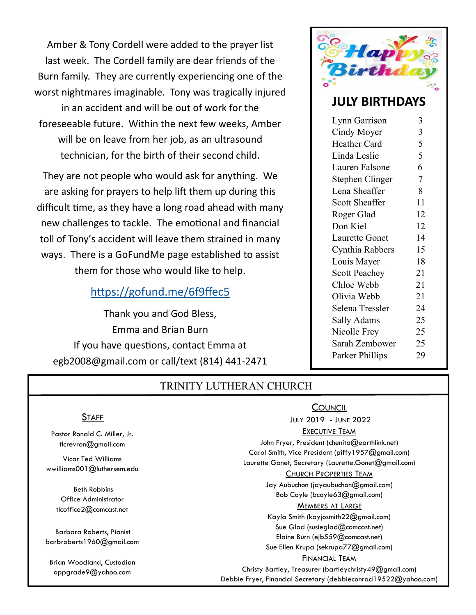Amber & Tony Cordell were added to the prayer list last week. The Cordell family are dear friends of the Burn family. They are currently experiencing one of the worst nightmares imaginable. Tony was tragically injured in an accident and will be out of work for the foreseeable future. Within the next few weeks, Amber will be on leave from her job, as an ultrasound technician, for the birth of their second child.

They are not people who would ask for anything. We are asking for prayers to help lift them up during this difficult time, as they have a long road ahead with many new challenges to tackle. The emotional and financial toll of Tony's accident will leave them strained in many ways. There is a GoFundMe page established to assist them for those who would like to help.

# https://gofund.me/6f9ffec5

Thank you and God Bless, Emma and Brian Burn If you have questions, contact Emma at egb2008@gmail.com or call/text (814) 441‐2471



# **JULY BIRTHDAYS**

| Lynn Garrison         | 3  |
|-----------------------|----|
| Cindy Moyer           | 3  |
| Heather Card          | 5  |
| Linda Leslie          | 5  |
| Lauren Falsone        | 6  |
| Stephen Clinger       | 7  |
| Lena Sheaffer         | 8  |
| <b>Scott Sheaffer</b> | 11 |
| Roger Glad            | 12 |
| Don Kiel              | 12 |
| <b>Laurette Gonet</b> | 14 |
| Cynthia Rabbers       | 15 |
| Louis Mayer           | 18 |
| <b>Scott Peachey</b>  | 21 |
| Chloe Webb            | 21 |
| Olivia Webb           | 21 |
| Selena Tressler       | 24 |
| Sally Adams           | 25 |
| Nicolle Frey          | 25 |
| Sarah Zembower        | 25 |
| Parker Phillips       | 29 |

# TRINITY LUTHERAN CHURCH

Pastor Ronald C. Miller, Jr. tlcrevron@gmail.com

**STAFF** 

Vicar Ted Williams wwilliams001@luthersem.edu

 Beth Robbins Office Administrator tlcoffice2@comcast.net

Barbara Roberts, Pianist barbroberts1960@gmail.com

Brian Woodland, Custodian oppgrade9@yahoo.com

# **COUNCIL**

JULY 2019 - JUNE 2022

#### **EXECUTIVE TEAM**

John Fryer, President (chenita@earthlink.net) Carol Smith, Vice President (piffy1957@gmail.com)

Laurette Gonet, Secretary (Laurette.Gonet@gmail.com)

#### CHURCH PROPERTIES TEAM

Jay Aubuchon (jayaubuchon@gmail.com) Bob Coyle (bcoyle63@gmail.com)

#### MEMBERS AT LARGE

Kayla Smith (kayjosmith22@gmail.com) Sue Glad (susieglad@comcast.net) Elaine Burn (ejb559@comcast.net) Sue Ellen Krupa (sekrupa77@gmail.com)

#### FINANCIAL TEAM

Christy Bartley, Treasurer (bartleychristy49@gmail.com) Debbie Fryer, Financial Secretary (debbieconrad19522@yahoo.com)